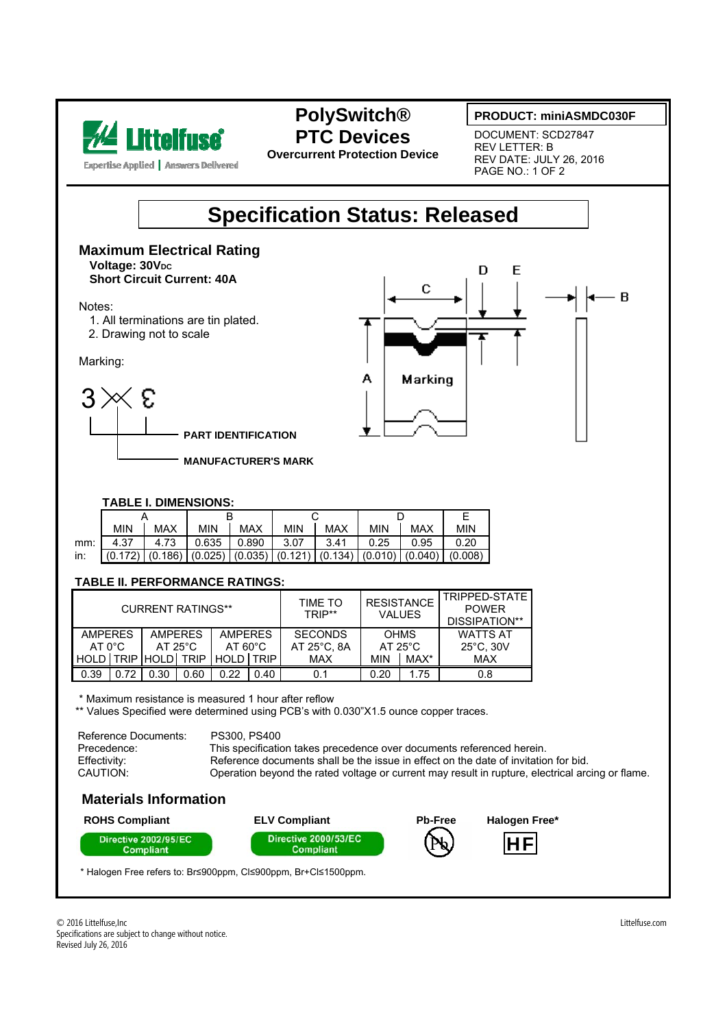

**Expertise Applied | Answers Delivered** 

## **PolySwitch® PTC Devices**

**Overcurrent Protection Device** 

#### **PRODUCT: miniASMDC030F**

- B

DOCUMENT: SCD27847 REV LETTER: B REV DATE: JULY 26, 2016 PAGE NO.: 1 OF 2

D

 $\mathbf C$ 

Marking

E

## **Specification Status: Released**

А

**Maximum Electrical Rating Voltage: 30VDC Short Circuit Current: 40A** 

Notes:

- 1. All terminations are tin plated.
- 2. Drawing not to scale

Marking:



**PART IDENTIFICATION**

**MANUFACTURER'S MARK**

#### **TABLE I. DIMENSIONS:**

|     | <b>MIN</b>                                                                                                                                           | <b>MAX</b> | <b>MIN</b> | <b>MAX</b> | <b>MIN</b> | <b>MAX</b> | <b>MIN</b> | <b>MAX</b> | <b>MIN</b> |
|-----|------------------------------------------------------------------------------------------------------------------------------------------------------|------------|------------|------------|------------|------------|------------|------------|------------|
| mm: | 4.37                                                                                                                                                 | 4.73       | 0.635      | 0.890      | 3.07       | 3.41       | 0.25       | 0.95       | 0.20       |
| in: | $\left[ (0.172) \right] (0.186) \left[ (0.025) \right] (0.035) \left[ (0.121) \right] (0.134) \left[ (0.010) \right] (0.040) \left[ (0.008) \right]$ |            |            |            |            |            |            |            |            |

#### **TABLE II. PERFORMANCE RATINGS:**

| <b>CURRENT RATINGS**</b> |      |                   |             |                   |      | TIME TO<br>TRIP** | <b>RESISTANCE</b><br><b>VALUES</b> |      | TRIPPED-STATE<br><b>POWER</b><br>DISSIPATION** |  |
|--------------------------|------|-------------------|-------------|-------------------|------|-------------------|------------------------------------|------|------------------------------------------------|--|
| <b>AMPERES</b>           |      | <b>AMPERES</b>    |             | <b>AMPFRFS</b>    |      | <b>SECONDS</b>    | <b>OHMS</b>                        |      | <b>WATTS AT</b>                                |  |
| $AT 0^{\circ}C$          |      | $AT 25^{\circ}$ C |             | $AT 60^{\circ}$ C |      | AT 25°C. 8A       | $AT 25^{\circ}$ C                  |      | $25^{\circ}$ C, 30V                            |  |
| HOLD   TRIP   HOLD       |      |                   | <b>TRIP</b> | HOLD <b>TRIP</b>  |      | MAX               | <b>MIN</b>                         | MAX* | MAX                                            |  |
| 0.39                     | 0.72 | 0.30              | 0.60        | 0.22              | 0.40 | 0.1               | 0.20                               | 1.75 | 0.8                                            |  |

\* Maximum resistance is measured 1 hour after reflow

\*\* Values Specified were determined using PCB's with 0.030"X1.5 ounce copper traces.

Reference Documents: PS300, PS400 Precedence: This specification takes precedence over documents referenced herein.<br>
Final perfectivity: Reference documents shall be the issue in effect on the date of invitation Reference documents shall be the issue in effect on the date of invitation for bid. CAUTION: Operation beyond the rated voltage or current may result in rupture, electrical arcing or flame.

### **Materials Information**



\* Halogen Free refers to: Br≤900ppm, Cl≤900ppm, Br+Cl≤1500ppm.

© 2016 Littelfuse,Inc Littelfuse.com Specifications are subject to change without notice. Revised July 26, 2016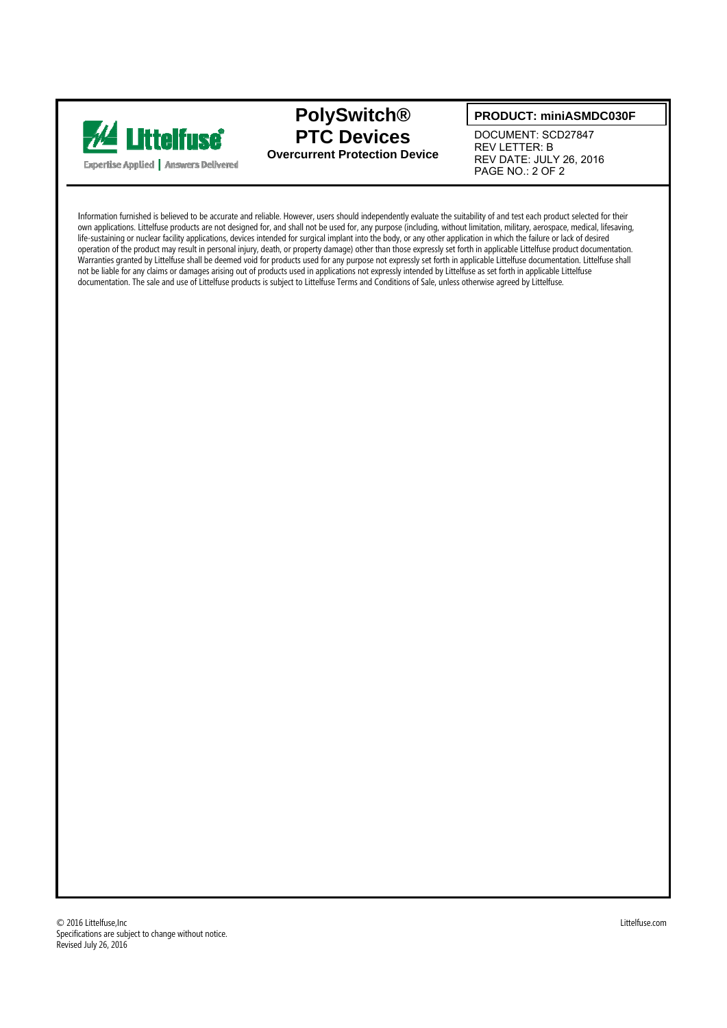

### **PolySwitch® PTC Devices Overcurrent Protection Device**

#### **PRODUCT: miniASMDC030F**

DOCUMENT: SCD27847 REV LETTER: B REV DATE: JULY 26, 2016 PAGE NO.: 2 OF 2

Information furnished is believed to be accurate and reliable. However, users should independently evaluate the suitability of and test each product selected for their own applications. Littelfuse products are not designed for, and shall not be used for, any purpose (including, without limitation, military, aerospace, medical, lifesaving, life-sustaining or nuclear facility applications, devices intended for surgical implant into the body, or any other application in which the failure or lack of desired operation of the product may result in personal injury, death, or property damage) other than those expressly set forth in applicable Littelfuse product documentation. Warranties granted by Littelfuse shall be deemed void for products used for any purpose not expressly set forth in applicable Littelfuse documentation. Littelfuse shall not be liable for any claims or damages arising out of products used in applications not expressly intended by Littelfuse as set forth in applicable Littelfuse documentation. The sale and use of Littelfuse products is subject to Littelfuse Terms and Conditions of Sale, unless otherwise agreed by Littelfuse.